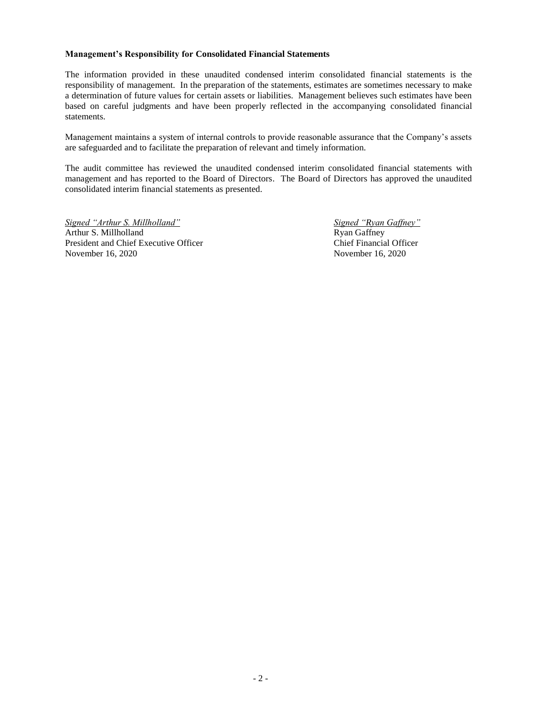#### **Management's Responsibility for Consolidated Financial Statements**

The information provided in these unaudited condensed interim consolidated financial statements is the responsibility of management. In the preparation of the statements, estimates are sometimes necessary to make a determination of future values for certain assets or liabilities. Management believes such estimates have been based on careful judgments and have been properly reflected in the accompanying consolidated financial statements.

Management maintains a system of internal controls to provide reasonable assurance that the Company's assets are safeguarded and to facilitate the preparation of relevant and timely information.

The audit committee has reviewed the unaudited condensed interim consolidated financial statements with management and has reported to the Board of Directors. The Board of Directors has approved the unaudited consolidated interim financial statements as presented.

*Signed "Arthur S. Millholland" Signed "Ryan Gaffney"* Arthur S. Millholland Ryan Gaffney President and Chief Executive Officer Chief Financial Officer November 16, 2020 November 16, 2020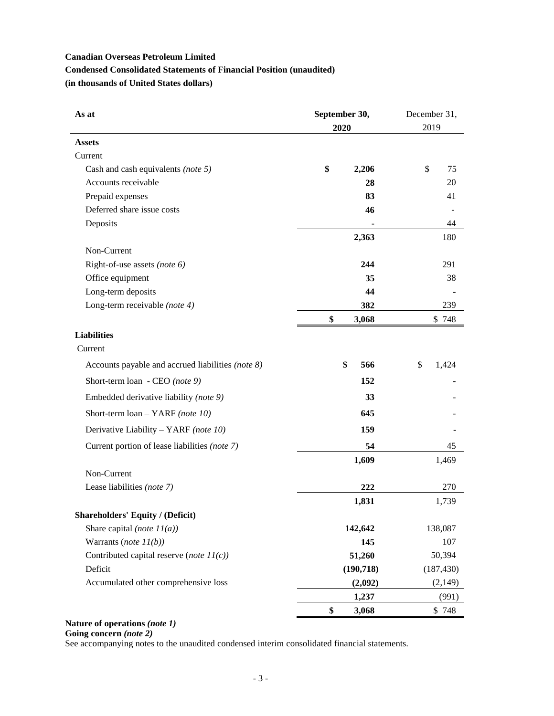# **Canadian Overseas Petroleum Limited Condensed Consolidated Statements of Financial Position (unaudited) (in thousands of United States dollars)**

| As at                                             | September 30, | December 31, |  |  |
|---------------------------------------------------|---------------|--------------|--|--|
|                                                   | 2020          | 2019         |  |  |
| <b>Assets</b>                                     |               |              |  |  |
| Current                                           |               |              |  |  |
| Cash and cash equivalents (note 5)                | \$<br>2,206   | \$<br>75     |  |  |
| Accounts receivable                               | 28            | 20           |  |  |
| Prepaid expenses                                  | 83            | 41           |  |  |
| Deferred share issue costs                        | 46            |              |  |  |
| Deposits                                          |               | 44           |  |  |
|                                                   | 2,363         | 180          |  |  |
| Non-Current                                       |               |              |  |  |
| Right-of-use assets (note $6$ )                   | 244           | 291          |  |  |
| Office equipment                                  | 35            | 38           |  |  |
| Long-term deposits                                | 44            |              |  |  |
| Long-term receivable (note 4)                     | 382           | 239          |  |  |
|                                                   | \$<br>3,068   | \$748        |  |  |
| <b>Liabilities</b>                                |               |              |  |  |
| Current                                           |               |              |  |  |
| Accounts payable and accrued liabilities (note 8) | \$<br>566     | \$<br>1,424  |  |  |
| Short-term loan - CEO (note 9)                    | 152           |              |  |  |
| Embedded derivative liability (note 9)            | 33            |              |  |  |
| Short-term $\text{loan} - \text{YARF}$ (note 10)  | 645           |              |  |  |
| Derivative Liability - YARF (note 10)             | 159           |              |  |  |
| Current portion of lease liabilities (note 7)     | 54            | 45           |  |  |
|                                                   | 1,609         | 1,469        |  |  |
| Non-Current                                       |               |              |  |  |
| Lease liabilities (note 7)                        | 222           | 270          |  |  |
|                                                   | 1,831         | 1,739        |  |  |
| <b>Shareholders' Equity / (Deficit)</b>           |               |              |  |  |
| Share capital (note $11(a)$ )                     | 142,642       | 138,087      |  |  |
| Warrants (note $11(b)$ )                          | 145           | 107          |  |  |
| Contributed capital reserve (note $11(c)$ )       | 51,260        | 50,394       |  |  |
| Deficit                                           | (190, 718)    | (187, 430)   |  |  |
| Accumulated other comprehensive loss              | (2,092)       | (2,149)      |  |  |
|                                                   | 1,237         | (991)        |  |  |
|                                                   | \$<br>3,068   | \$748        |  |  |

## **Nature of operations** *(note 1)*

**Going concern** *(note 2)*

See accompanying notes to the unaudited condensed interim consolidated financial statements.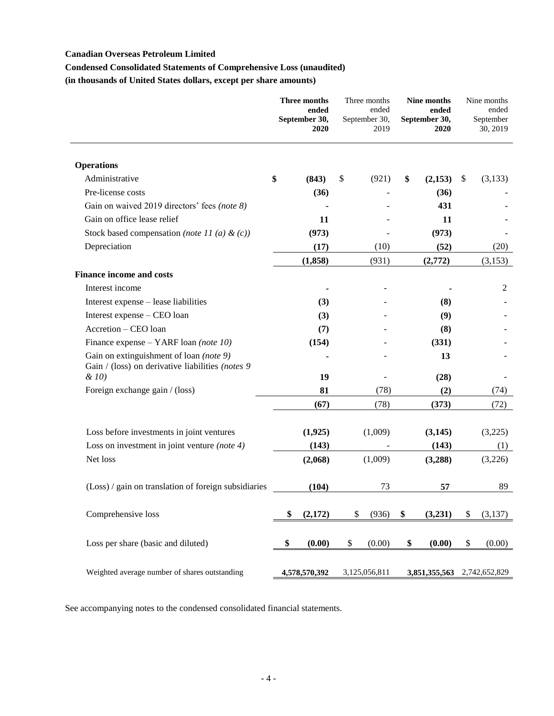## **Condensed Consolidated Statements of Comprehensive Loss (unaudited)**

**(in thousands of United States dollars, except per share amounts)**

|                                                                                             | <b>Three months</b><br>ended<br>September 30,<br><b>2020</b> |               | <b>Nine months</b><br>ended<br>ended<br>September 30,<br>September 30,<br>2019<br>2020 |               | Three months  |               | Nine months<br>ended<br>September<br>30, 2019 |
|---------------------------------------------------------------------------------------------|--------------------------------------------------------------|---------------|----------------------------------------------------------------------------------------|---------------|---------------|---------------|-----------------------------------------------|
| <b>Operations</b>                                                                           |                                                              |               |                                                                                        |               |               |               |                                               |
| Administrative                                                                              | \$                                                           | (843)         | \$                                                                                     | (921)         | \$<br>(2,153) | \$<br>(3,133) |                                               |
| Pre-license costs                                                                           |                                                              | (36)          |                                                                                        |               | (36)          |               |                                               |
| Gain on waived 2019 directors' fees (note 8)                                                |                                                              |               |                                                                                        |               | 431           |               |                                               |
| Gain on office lease relief                                                                 |                                                              | 11            |                                                                                        |               | 11            |               |                                               |
| Stock based compensation (note 11 (a) & (c))                                                |                                                              | (973)         |                                                                                        |               | (973)         |               |                                               |
| Depreciation                                                                                |                                                              | (17)          |                                                                                        | (10)          | (52)          | (20)          |                                               |
|                                                                                             |                                                              | (1,858)       |                                                                                        | (931)         | (2,772)       | (3,153)       |                                               |
| <b>Finance income and costs</b>                                                             |                                                              |               |                                                                                        |               |               |               |                                               |
| Interest income                                                                             |                                                              |               |                                                                                        |               |               | 2             |                                               |
| Interest expense - lease liabilities                                                        |                                                              | (3)           |                                                                                        |               | (8)           |               |                                               |
| Interest expense - CEO loan                                                                 |                                                              | (3)           |                                                                                        |               | (9)           |               |                                               |
| Accretion - CEO loan                                                                        |                                                              | (7)           |                                                                                        |               | (8)           |               |                                               |
| Finance expense – YARF loan (note 10)                                                       |                                                              | (154)         |                                                                                        |               | (331)         |               |                                               |
| Gain on extinguishment of loan (note 9)<br>Gain / (loss) on derivative liabilities (notes 9 |                                                              |               |                                                                                        |               | 13            |               |                                               |
| $\&$ 10)                                                                                    |                                                              | 19            |                                                                                        |               | (28)          |               |                                               |
| Foreign exchange gain / (loss)                                                              |                                                              | 81            |                                                                                        | (78)          | (2)           | (74)          |                                               |
|                                                                                             |                                                              | (67)          |                                                                                        | (78)          | (373)         | (72)          |                                               |
| Loss before investments in joint ventures                                                   |                                                              | (1,925)       |                                                                                        | (1,009)       | (3,145)       | (3,225)       |                                               |
| Loss on investment in joint venture (note $4$ )                                             |                                                              | (143)         |                                                                                        |               | (143)         | (1)           |                                               |
| Net loss                                                                                    |                                                              | (2,068)       |                                                                                        | (1,009)       | (3,288)       | (3,226)       |                                               |
| (Loss) / gain on translation of foreign subsidiaries                                        |                                                              | (104)         |                                                                                        | 73            | 57            | 89            |                                               |
| Comprehensive loss                                                                          | \$                                                           | (2,172)       | \$                                                                                     | (936)         | \$<br>(3,231) | \$<br>(3,137) |                                               |
| Loss per share (basic and diluted)                                                          | \$                                                           | (0.00)        | \$                                                                                     | (0.00)        | \$<br>(0.00)  | \$<br>(0.00)  |                                               |
| Weighted average number of shares outstanding                                               |                                                              | 4,578,570,392 |                                                                                        | 3,125,056,811 | 3,851,355,563 | 2,742,652,829 |                                               |

See accompanying notes to the condensed consolidated financial statements.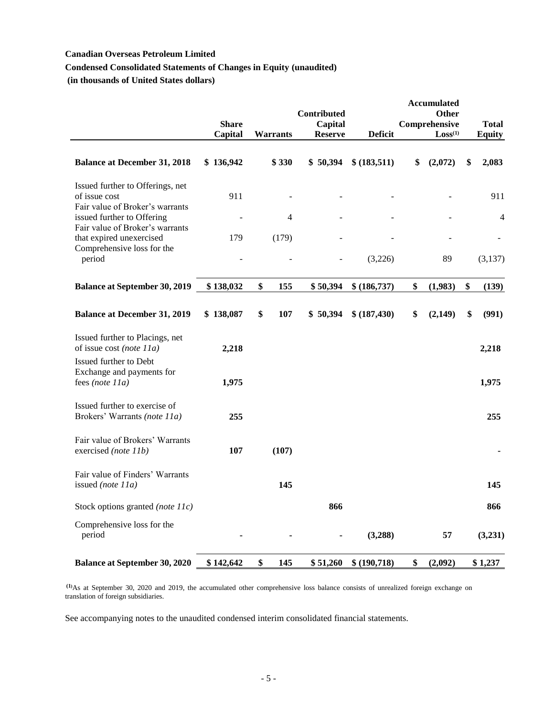## **Condensed Consolidated Statements of Changes in Equity (unaudited)**

**(in thousands of United States dollars)**

|                                                                                      |              |                 | <b>Contributed</b> |                | <b>Accumulated</b><br><b>Other</b> |               |
|--------------------------------------------------------------------------------------|--------------|-----------------|--------------------|----------------|------------------------------------|---------------|
|                                                                                      | <b>Share</b> |                 | Capital            |                | Comprehensive                      | <b>Total</b>  |
|                                                                                      | Capital      | <b>Warrants</b> | <b>Reserve</b>     | <b>Deficit</b> | Loss <sup>(1)</sup>                | <b>Equity</b> |
| <b>Balance at December 31, 2018</b>                                                  | \$136,942    | \$330           | \$50,394           | \$ (183,511)   | \$<br>(2,072)                      | \$<br>2,083   |
| Issued further to Offerings, net<br>of issue cost<br>Fair value of Broker's warrants | 911          |                 |                    |                |                                    | 911           |
| issued further to Offering<br>Fair value of Broker's warrants                        |              | 4               |                    |                |                                    | 4             |
| that expired unexercised                                                             | 179          | (179)           |                    |                |                                    |               |
| Comprehensive loss for the<br>period                                                 |              |                 |                    | (3,226)        | 89                                 | (3,137)       |
| <b>Balance at September 30, 2019</b>                                                 | \$138,032    | \$<br>155       | \$50,394           | \$ (186,737)   | \$<br>(1,983)                      | \$<br>(139)   |
| <b>Balance at December 31, 2019</b>                                                  | \$138,087    | \$<br>107       | \$50,394           | \$ (187, 430)  | \$<br>(2,149)                      | \$<br>(991)   |
| Issued further to Placings, net<br>of issue cost (note $11a$ )                       | 2,218        |                 |                    |                |                                    | 2,218         |
| Issued further to Debt<br>Exchange and payments for<br>fees (note 11a)               | 1,975        |                 |                    |                |                                    | 1,975         |
| Issued further to exercise of<br>Brokers' Warrants (note 11a)                        | 255          |                 |                    |                |                                    | 255           |
| Fair value of Brokers' Warrants<br>exercised (note 11b)                              | 107          | (107)           |                    |                |                                    |               |
| Fair value of Finders' Warrants<br>issued (note 11a)                                 |              | 145             |                    |                |                                    | 145           |
| Stock options granted (note 11c)                                                     |              |                 | 866                |                |                                    | 866           |
| Comprehensive loss for the<br>period                                                 |              |                 |                    | (3,288)        | 57                                 | (3,231)       |
| <b>Balance at September 30, 2020</b>                                                 | \$142,642    | \$<br>145       | \$51,260           | \$(190,718)    | \$<br>(2,092)                      | \$1,237       |

**(1)**As at September 30, 2020 and 2019, the accumulated other comprehensive loss balance consists of unrealized foreign exchange on translation of foreign subsidiaries.

See accompanying notes to the unaudited condensed interim consolidated financial statements.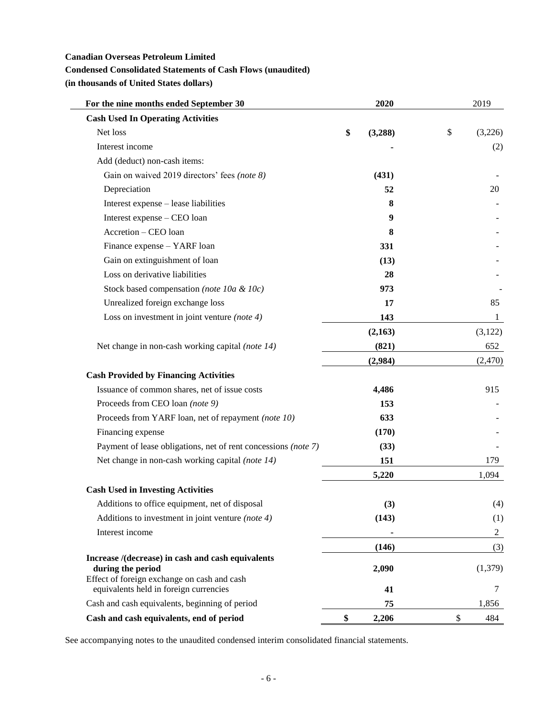## **Condensed Consolidated Statements of Cash Flows (unaudited)**

**(in thousands of United States dollars)**

| For the nine months ended September 30                                                | 2020          | 2019           |
|---------------------------------------------------------------------------------------|---------------|----------------|
| <b>Cash Used In Operating Activities</b>                                              |               |                |
| Net loss                                                                              | \$<br>(3,288) | \$<br>(3,226)  |
| Interest income                                                                       |               | (2)            |
| Add (deduct) non-cash items:                                                          |               |                |
| Gain on waived 2019 directors' fees (note 8)                                          | (431)         |                |
| Depreciation                                                                          | 52            | 20             |
| Interest expense - lease liabilities                                                  | 8             |                |
| Interest expense - CEO loan                                                           | 9             |                |
| Accretion - CEO loan                                                                  | 8             |                |
| Finance expense - YARF loan                                                           | 331           |                |
| Gain on extinguishment of loan                                                        | (13)          |                |
| Loss on derivative liabilities                                                        | 28            |                |
| Stock based compensation (note 10a & 10c)                                             | 973           |                |
| Unrealized foreign exchange loss                                                      | 17            | 85             |
| Loss on investment in joint venture (note $4$ )                                       | 143           | 1              |
|                                                                                       | (2,163)       | (3,122)        |
| Net change in non-cash working capital (note 14)                                      | (821)         | 652            |
|                                                                                       | (2,984)       | (2,470)        |
| <b>Cash Provided by Financing Activities</b>                                          |               |                |
| Issuance of common shares, net of issue costs                                         | 4,486         | 915            |
| Proceeds from CEO loan (note 9)                                                       | 153           |                |
| Proceeds from YARF loan, net of repayment (note 10)                                   | 633           |                |
| Financing expense                                                                     | (170)         |                |
| Payment of lease obligations, net of rent concessions (note 7)                        | (33)          |                |
| Net change in non-cash working capital (note 14)                                      | 151           | 179            |
|                                                                                       | 5,220         | 1,094          |
| <b>Cash Used in Investing Activities</b>                                              |               |                |
| Additions to office equipment, net of disposal                                        | (3)           | (4)            |
| Additions to investment in joint venture (note $4$ )                                  | (143)         | (1)            |
| Interest income                                                                       |               | $\overline{2}$ |
|                                                                                       | (146)         | (3)            |
| Increase /(decrease) in cash and cash equivalents<br>during the period                | 2,090         | (1,379)        |
| Effect of foreign exchange on cash and cash<br>equivalents held in foreign currencies | 41            | 7              |
| Cash and cash equivalents, beginning of period                                        | 75            | 1,856          |
| Cash and cash equivalents, end of period                                              | \$<br>2,206   | \$<br>484      |

See accompanying notes to the unaudited condensed interim consolidated financial statements.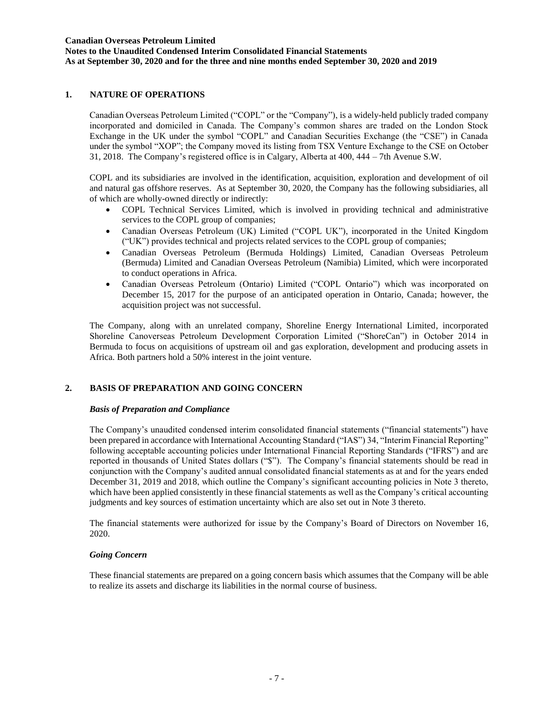### **Notes to the Unaudited Condensed Interim Consolidated Financial Statements As at September 30, 2020 and for the three and nine months ended September 30, 2020 and 2019**

## **1. NATURE OF OPERATIONS**

Canadian Overseas Petroleum Limited ("COPL" or the "Company"), is a widely-held publicly traded company incorporated and domiciled in Canada. The Company's common shares are traded on the London Stock Exchange in the UK under the symbol "COPL" and Canadian Securities Exchange (the "CSE") in Canada under the symbol "XOP"; the Company moved its listing from TSX Venture Exchange to the CSE on October 31, 2018. The Company's registered office is in Calgary, Alberta at 400, 444 – 7th Avenue S.W.

COPL and its subsidiaries are involved in the identification, acquisition, exploration and development of oil and natural gas offshore reserves. As at September 30, 2020, the Company has the following subsidiaries, all of which are wholly-owned directly or indirectly:

- COPL Technical Services Limited, which is involved in providing technical and administrative services to the COPL group of companies;
- Canadian Overseas Petroleum (UK) Limited ("COPL UK"), incorporated in the United Kingdom ("UK") provides technical and projects related services to the COPL group of companies;
- Canadian Overseas Petroleum (Bermuda Holdings) Limited, Canadian Overseas Petroleum (Bermuda) Limited and Canadian Overseas Petroleum (Namibia) Limited, which were incorporated to conduct operations in Africa.
- Canadian Overseas Petroleum (Ontario) Limited ("COPL Ontario") which was incorporated on December 15, 2017 for the purpose of an anticipated operation in Ontario, Canada; however, the acquisition project was not successful.

The Company, along with an unrelated company, Shoreline Energy International Limited, incorporated Shoreline Canoverseas Petroleum Development Corporation Limited ("ShoreCan") in October 2014 in Bermuda to focus on acquisitions of upstream oil and gas exploration, development and producing assets in Africa. Both partners hold a 50% interest in the joint venture.

### **2. BASIS OF PREPARATION AND GOING CONCERN**

#### *Basis of Preparation and Compliance*

The Company's unaudited condensed interim consolidated financial statements ("financial statements") have been prepared in accordance with International Accounting Standard ("IAS") 34, "Interim Financial Reporting" following acceptable accounting policies under International Financial Reporting Standards ("IFRS") and are reported in thousands of United States dollars ("\$"). The Company's financial statements should be read in conjunction with the Company's audited annual consolidated financial statements as at and for the years ended December 31, 2019 and 2018, which outline the Company's significant accounting policies in Note 3 thereto, which have been applied consistently in these financial statements as well as the Company's critical accounting judgments and key sources of estimation uncertainty which are also set out in Note 3 thereto.

The financial statements were authorized for issue by the Company's Board of Directors on November 16, 2020.

#### *Going Concern*

These financial statements are prepared on a going concern basis which assumes that the Company will be able to realize its assets and discharge its liabilities in the normal course of business.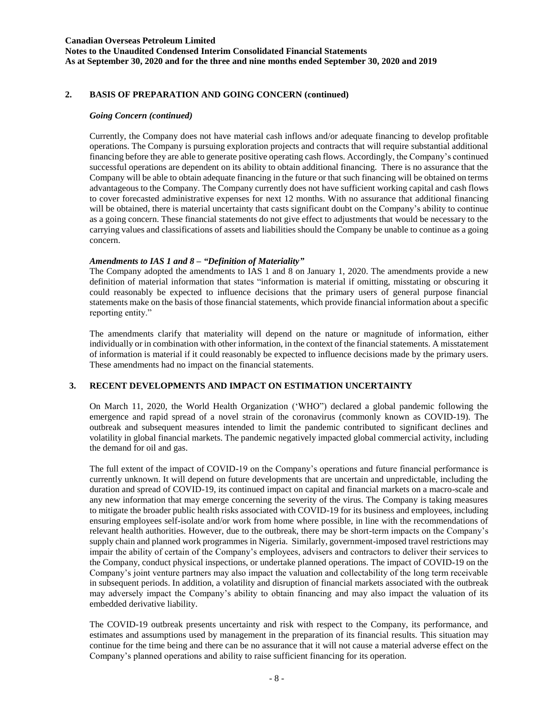**Notes to the Unaudited Condensed Interim Consolidated Financial Statements As at September 30, 2020 and for the three and nine months ended September 30, 2020 and 2019**

### **2. BASIS OF PREPARATION AND GOING CONCERN (continued)**

#### *Going Concern (continued)*

Currently, the Company does not have material cash inflows and/or adequate financing to develop profitable operations. The Company is pursuing exploration projects and contracts that will require substantial additional financing before they are able to generate positive operating cash flows. Accordingly, the Company's continued successful operations are dependent on its ability to obtain additional financing. There is no assurance that the Company will be able to obtain adequate financing in the future or that such financing will be obtained on terms advantageous to the Company. The Company currently does not have sufficient working capital and cash flows to cover forecasted administrative expenses for next 12 months. With no assurance that additional financing will be obtained, there is material uncertainty that casts significant doubt on the Company's ability to continue as a going concern. These financial statements do not give effect to adjustments that would be necessary to the carrying values and classifications of assets and liabilities should the Company be unable to continue as a going concern.

#### *Amendments to IAS 1 and 8 – "Definition of Materiality"*

The Company adopted the amendments to IAS 1 and 8 on January 1, 2020. The amendments provide a new definition of material information that states "information is material if omitting, misstating or obscuring it could reasonably be expected to influence decisions that the primary users of general purpose financial statements make on the basis of those financial statements, which provide financial information about a specific reporting entity."

The amendments clarify that materiality will depend on the nature or magnitude of information, either individually or in combination with other information, in the context of the financial statements. A misstatement of information is material if it could reasonably be expected to influence decisions made by the primary users. These amendments had no impact on the financial statements.

### **3. RECENT DEVELOPMENTS AND IMPACT ON ESTIMATION UNCERTAINTY**

On March 11, 2020, the World Health Organization ('WHO") declared a global pandemic following the emergence and rapid spread of a novel strain of the coronavirus (commonly known as COVID-19). The outbreak and subsequent measures intended to limit the pandemic contributed to significant declines and volatility in global financial markets. The pandemic negatively impacted global commercial activity, including the demand for oil and gas.

The full extent of the impact of COVID-19 on the Company's operations and future financial performance is currently unknown. It will depend on future developments that are uncertain and unpredictable, including the duration and spread of COVID-19, its continued impact on capital and financial markets on a macro-scale and any new information that may emerge concerning the severity of the virus. The Company is taking measures to mitigate the broader public health risks associated with COVID-19 for its business and employees, including ensuring employees self-isolate and/or work from home where possible, in line with the recommendations of relevant health authorities. However, due to the outbreak, there may be short-term impacts on the Company's supply chain and planned work programmes in Nigeria. Similarly, government-imposed travel restrictions may impair the ability of certain of the Company's employees, advisers and contractors to deliver their services to the Company, conduct physical inspections, or undertake planned operations. The impact of COVID-19 on the Company's joint venture partners may also impact the valuation and collectability of the long term receivable in subsequent periods. In addition, a volatility and disruption of financial markets associated with the outbreak may adversely impact the Company's ability to obtain financing and may also impact the valuation of its embedded derivative liability.

The COVID-19 outbreak presents uncertainty and risk with respect to the Company, its performance, and estimates and assumptions used by management in the preparation of its financial results. This situation may continue for the time being and there can be no assurance that it will not cause a material adverse effect on the Company's planned operations and ability to raise sufficient financing for its operation.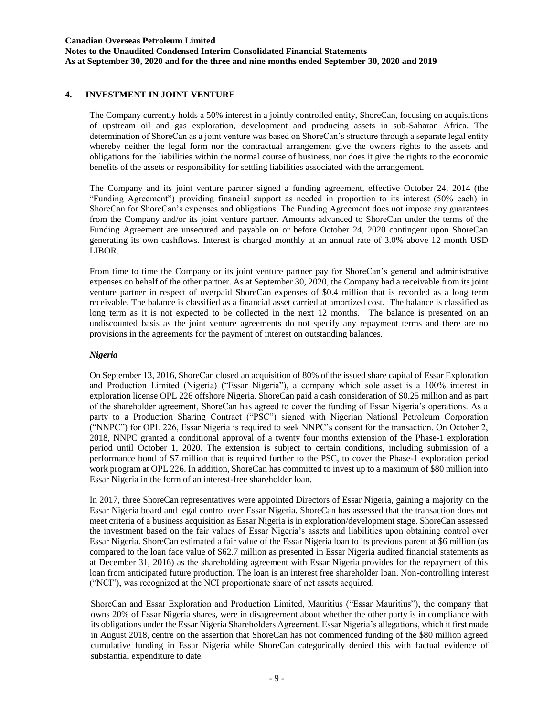**Notes to the Unaudited Condensed Interim Consolidated Financial Statements As at September 30, 2020 and for the three and nine months ended September 30, 2020 and 2019**

### **4. INVESTMENT IN JOINT VENTURE**

The Company currently holds a 50% interest in a jointly controlled entity, ShoreCan, focusing on acquisitions of upstream oil and gas exploration, development and producing assets in sub-Saharan Africa. The determination of ShoreCan as a joint venture was based on ShoreCan's structure through a separate legal entity whereby neither the legal form nor the contractual arrangement give the owners rights to the assets and obligations for the liabilities within the normal course of business, nor does it give the rights to the economic benefits of the assets or responsibility for settling liabilities associated with the arrangement.

The Company and its joint venture partner signed a funding agreement, effective October 24, 2014 (the "Funding Agreement") providing financial support as needed in proportion to its interest (50% each) in ShoreCan for ShoreCan's expenses and obligations. The Funding Agreement does not impose any guarantees from the Company and/or its joint venture partner. Amounts advanced to ShoreCan under the terms of the Funding Agreement are unsecured and payable on or before October 24, 2020 contingent upon ShoreCan generating its own cashflows. Interest is charged monthly at an annual rate of 3.0% above 12 month USD LIBOR.

From time to time the Company or its joint venture partner pay for ShoreCan's general and administrative expenses on behalf of the other partner. As at September 30, 2020, the Company had a receivable from its joint venture partner in respect of overpaid ShoreCan expenses of \$0.4 million that is recorded as a long term receivable. The balance is classified as a financial asset carried at amortized cost. The balance is classified as long term as it is not expected to be collected in the next 12 months. The balance is presented on an undiscounted basis as the joint venture agreements do not specify any repayment terms and there are no provisions in the agreements for the payment of interest on outstanding balances.

#### *Nigeria*

On September 13, 2016, ShoreCan closed an acquisition of 80% of the issued share capital of Essar Exploration and Production Limited (Nigeria) ("Essar Nigeria"), a company which sole asset is a 100% interest in exploration license OPL 226 offshore Nigeria. ShoreCan paid a cash consideration of \$0.25 million and as part of the shareholder agreement, ShoreCan has agreed to cover the funding of Essar Nigeria's operations. As a party to a Production Sharing Contract ("PSC") signed with Nigerian National Petroleum Corporation ("NNPC") for OPL 226, Essar Nigeria is required to seek NNPC's consent for the transaction. On October 2, 2018, NNPC granted a conditional approval of a twenty four months extension of the Phase-1 exploration period until October 1, 2020. The extension is subject to certain conditions, including submission of a performance bond of \$7 million that is required further to the PSC, to cover the Phase-1 exploration period work program at OPL 226. In addition, ShoreCan has committed to invest up to a maximum of \$80 million into Essar Nigeria in the form of an interest-free shareholder loan.

In 2017, three ShoreCan representatives were appointed Directors of Essar Nigeria, gaining a majority on the Essar Nigeria board and legal control over Essar Nigeria. ShoreCan has assessed that the transaction does not meet criteria of a business acquisition as Essar Nigeria is in exploration/development stage. ShoreCan assessed the investment based on the fair values of Essar Nigeria's assets and liabilities upon obtaining control over Essar Nigeria. ShoreCan estimated a fair value of the Essar Nigeria loan to its previous parent at \$6 million (as compared to the loan face value of \$62.7 million as presented in Essar Nigeria audited financial statements as at December 31, 2016) as the shareholding agreement with Essar Nigeria provides for the repayment of this loan from anticipated future production. The loan is an interest free shareholder loan. Non-controlling interest ("NCI"), was recognized at the NCI proportionate share of net assets acquired.

ShoreCan and Essar Exploration and Production Limited, Mauritius ("Essar Mauritius"), the company that owns 20% of Essar Nigeria shares, were in disagreement about whether the other party is in compliance with its obligations under the Essar Nigeria Shareholders Agreement. Essar Nigeria's allegations, which it first made in August 2018, centre on the assertion that ShoreCan has not commenced funding of the \$80 million agreed cumulative funding in Essar Nigeria while ShoreCan categorically denied this with factual evidence of substantial expenditure to date.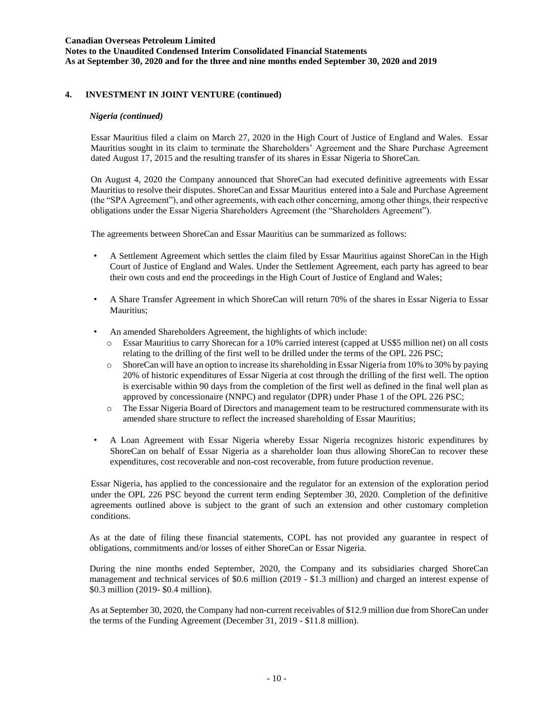**Notes to the Unaudited Condensed Interim Consolidated Financial Statements As at September 30, 2020 and for the three and nine months ended September 30, 2020 and 2019**

### **4. INVESTMENT IN JOINT VENTURE (continued)**

#### *Nigeria (continued)*

Essar Mauritius filed a claim on March 27, 2020 in the High Court of Justice of England and Wales. Essar Mauritius sought in its claim to terminate the Shareholders' Agreement and the Share Purchase Agreement dated August 17, 2015 and the resulting transfer of its shares in Essar Nigeria to ShoreCan.

On August 4, 2020 the Company announced that ShoreCan had executed definitive agreements with Essar Mauritius to resolve their disputes. ShoreCan and Essar Mauritius entered into a Sale and Purchase Agreement (the "SPA Agreement"), and other agreements, with each other concerning, among other things, their respective obligations under the Essar Nigeria Shareholders Agreement (the "Shareholders Agreement").

The agreements between ShoreCan and Essar Mauritius can be summarized as follows:

- A Settlement Agreement which settles the claim filed by Essar Mauritius against ShoreCan in the High Court of Justice of England and Wales. Under the Settlement Agreement, each party has agreed to bear their own costs and end the proceedings in the High Court of Justice of England and Wales;
- A Share Transfer Agreement in which ShoreCan will return 70% of the shares in Essar Nigeria to Essar Mauritius;
- An amended Shareholders Agreement, the highlights of which include:
	- o Essar Mauritius to carry Shorecan for a 10% carried interest (capped at US\$5 million net) on all costs relating to the drilling of the first well to be drilled under the terms of the OPL 226 PSC;
	- o ShoreCan will have an option to increase its shareholding in Essar Nigeria from 10% to 30% by paying 20% of historic expenditures of Essar Nigeria at cost through the drilling of the first well. The option is exercisable within 90 days from the completion of the first well as defined in the final well plan as approved by concessionaire (NNPC) and regulator (DPR) under Phase 1 of the OPL 226 PSC;
	- o The Essar Nigeria Board of Directors and management team to be restructured commensurate with its amended share structure to reflect the increased shareholding of Essar Mauritius;
- A Loan Agreement with Essar Nigeria whereby Essar Nigeria recognizes historic expenditures by ShoreCan on behalf of Essar Nigeria as a shareholder loan thus allowing ShoreCan to recover these expenditures, cost recoverable and non-cost recoverable, from future production revenue.

Essar Nigeria, has applied to the concessionaire and the regulator for an extension of the exploration period under the OPL 226 PSC beyond the current term ending September 30, 2020. Completion of the definitive agreements outlined above is subject to the grant of such an extension and other customary completion conditions.

As at the date of filing these financial statements, COPL has not provided any guarantee in respect of obligations, commitments and/or losses of either ShoreCan or Essar Nigeria.

During the nine months ended September, 2020, the Company and its subsidiaries charged ShoreCan management and technical services of \$0.6 million (2019 - \$1.3 million) and charged an interest expense of \$0.3 million (2019- \$0.4 million).

As at September 30, 2020, the Company had non-current receivables of \$12.9 million due from ShoreCan under the terms of the Funding Agreement (December 31, 2019 - \$11.8 million).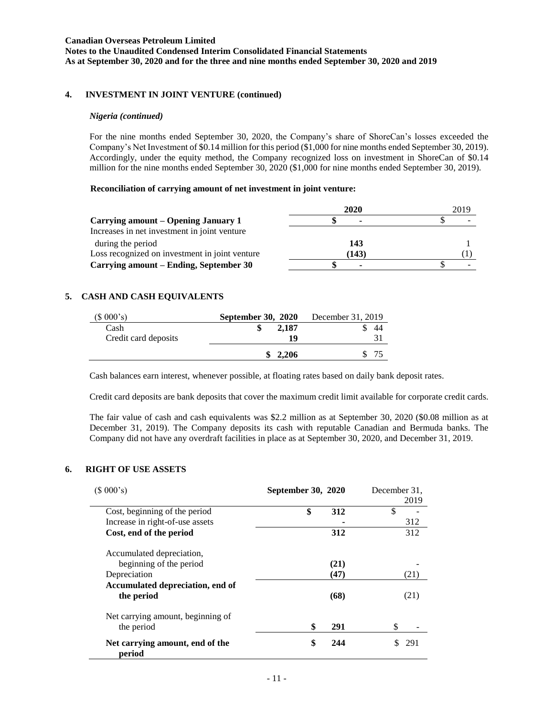**Notes to the Unaudited Condensed Interim Consolidated Financial Statements As at September 30, 2020 and for the three and nine months ended September 30, 2020 and 2019**

### **4. INVESTMENT IN JOINT VENTURE (continued)**

#### *Nigeria (continued)*

For the nine months ended September 30, 2020, the Company's share of ShoreCan's losses exceeded the Company's Net Investment of \$0.14 million for this period (\$1,000 for nine months ended September 30, 2019). Accordingly, under the equity method, the Company recognized loss on investment in ShoreCan of \$0.14 million for the nine months ended September 30, 2020 (\$1,000 for nine months ended September 30, 2019).

#### **Reconciliation of carrying amount of net investment in joint venture:**

|                                                | 2020  | 2019 |
|------------------------------------------------|-------|------|
| Carrying amount – Opening January 1            | ۰     |      |
| Increases in net investment in joint venture   |       |      |
| during the period                              | 143   |      |
| Loss recognized on investment in joint venture | (143) |      |
| Carrying amount – Ending, September 30         | ٠     |      |

### **5. CASH AND CASH EQUIVALENTS**

| (\$000's)            | <b>September 30, 2020</b> | December 31, 2019 |
|----------------------|---------------------------|-------------------|
| Cash                 | 2.187                     | 44                |
| Credit card deposits | 19                        |                   |
|                      | 2,206                     |                   |

Cash balances earn interest, whenever possible, at floating rates based on daily bank deposit rates.

Credit card deposits are bank deposits that cover the maximum credit limit available for corporate credit cards.

The fair value of cash and cash equivalents was \$2.2 million as at September 30, 2020 (\$0.08 million as at December 31, 2019). The Company deposits its cash with reputable Canadian and Bermuda banks. The Company did not have any overdraft facilities in place as at September 30, 2020, and December 31, 2019.

### **6. RIGHT OF USE ASSETS**

 $\overline{a}$ 

| (\$000's)<br>September 30, 2020                 |           | December 31.<br>2019 |
|-------------------------------------------------|-----------|----------------------|
| Cost, beginning of the period                   | \$<br>312 | \$                   |
| Increase in right-of-use assets                 |           | 312                  |
| Cost, end of the period                         | 312       | 312                  |
| Accumulated depreciation,                       |           |                      |
| beginning of the period                         | (21)      |                      |
| Depreciation                                    | (47)      | (21)                 |
| Accumulated depreciation, end of                |           |                      |
| the period                                      | (68)      | (21)                 |
| Net carrying amount, beginning of<br>the period | \$<br>291 | \$                   |
| Net carrying amount, end of the<br>period       | \$<br>244 | 291                  |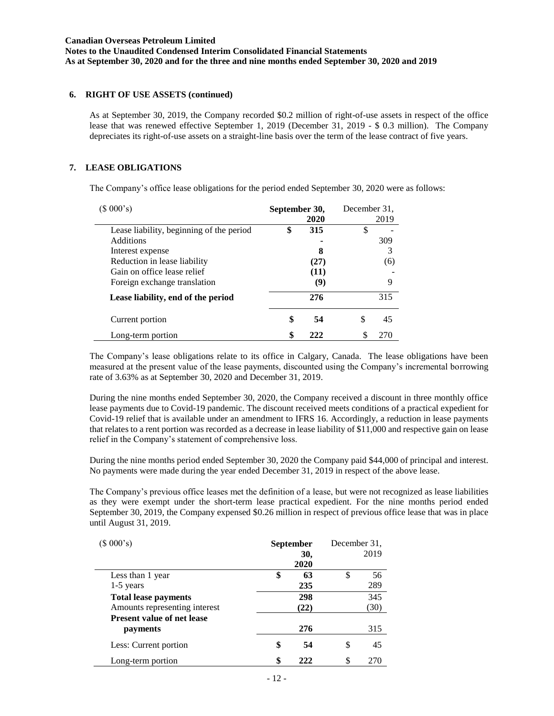### **6. RIGHT OF USE ASSETS (continued)**

As at September 30, 2019, the Company recorded \$0.2 million of right-of-use assets in respect of the office lease that was renewed effective September 1, 2019 (December 31, 2019 - \$ 0.3 million). The Company depreciates its right-of-use assets on a straight-line basis over the term of the lease contract of five years.

### **7. LEASE OBLIGATIONS**

The Company's office lease obligations for the period ended September 30, 2020 were as follows:

| (\$000's)                                | September 30, |      | December 31. |      |
|------------------------------------------|---------------|------|--------------|------|
|                                          |               | 2020 |              | 2019 |
| Lease liability, beginning of the period | \$            | 315  | \$           |      |
| <b>Additions</b>                         |               |      |              | 309  |
| Interest expense                         |               | 8    |              | 3    |
| Reduction in lease liability             |               | (27) |              | (6)  |
| Gain on office lease relief              |               | (11) |              |      |
| Foreign exchange translation             |               | (9)  |              | 9    |
| Lease liability, end of the period       |               | 276  |              | 315  |
| Current portion                          | \$            | 54   | \$           | 45   |
| Long-term portion                        | \$            | 222  |              | 270  |

The Company's lease obligations relate to its office in Calgary, Canada. The lease obligations have been measured at the present value of the lease payments, discounted using the Company's incremental borrowing rate of 3.63% as at September 30, 2020 and December 31, 2019.

During the nine months ended September 30, 2020, the Company received a discount in three monthly office lease payments due to Covid-19 pandemic. The discount received meets conditions of a practical expedient for Covid-19 relief that is available under an amendment to IFRS 16. Accordingly, a reduction in lease payments that relates to a rent portion was recorded as a decrease in lease liability of \$11,000 and respective gain on lease relief in the Company's statement of comprehensive loss.

During the nine months period ended September 30, 2020 the Company paid \$44,000 of principal and interest. No payments were made during the year ended December 31, 2019 in respect of the above lease.

The Company's previous office leases met the definition of a lease, but were not recognized as lease liabilities as they were exempt under the short-term lease practical expedient. For the nine months period ended September 30, 2019, the Company expensed \$0.26 million in respect of previous office lease that was in place until August 31, 2019.

| (\$000's)                         | <b>September</b> |      | December 31. |      |  |
|-----------------------------------|------------------|------|--------------|------|--|
|                                   |                  | 30,  |              | 2019 |  |
|                                   |                  | 2020 |              |      |  |
| Less than 1 year                  | \$               | 63   | \$           | 56   |  |
| $1-5$ years                       |                  | 235  |              | 289  |  |
| <b>Total lease payments</b>       |                  | 298  |              | 345  |  |
| Amounts representing interest     |                  | (22) |              | (30) |  |
| <b>Present value of net lease</b> |                  |      |              |      |  |
| payments                          |                  | 276  |              | 315  |  |
| Less: Current portion             | \$               | 54   | \$           | 45   |  |
| Long-term portion                 | \$               | 222  | S            | 270  |  |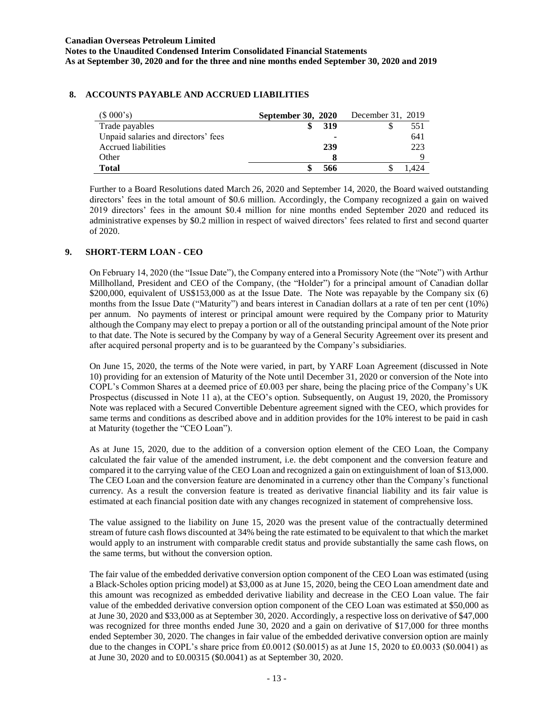### **8. ACCOUNTS PAYABLE AND ACCRUED LIABILITIES**

| (\$000's)                           | <b>September 30, 2020</b> | December 31, 2019 |
|-------------------------------------|---------------------------|-------------------|
| Trade payables                      | 319                       | 551               |
| Unpaid salaries and directors' fees | ۰                         | 641               |
| Accrued liabilities                 | 239                       | 223               |
| Other                               |                           |                   |
| <b>Total</b>                        | 566                       |                   |

Further to a Board Resolutions dated March 26, 2020 and September 14, 2020, the Board waived outstanding directors' fees in the total amount of \$0.6 million. Accordingly, the Company recognized a gain on waived 2019 directors' fees in the amount \$0.4 million for nine months ended September 2020 and reduced its administrative expenses by \$0.2 million in respect of waived directors' fees related to first and second quarter of 2020.

## **9. SHORT-TERM LOAN - CEO**

On February 14, 2020 (the "Issue Date"), the Company entered into a Promissory Note (the "Note") with Arthur Millholland, President and CEO of the Company, (the "Holder") for a principal amount of Canadian dollar \$200,000, equivalent of US\$153,000 as at the Issue Date. The Note was repayable by the Company six (6) months from the Issue Date ("Maturity") and bears interest in Canadian dollars at a rate of ten per cent (10%) per annum. No payments of interest or principal amount were required by the Company prior to Maturity although the Company may elect to prepay a portion or all of the outstanding principal amount of the Note prior to that date. The Note is secured by the Company by way of a General Security Agreement over its present and after acquired personal property and is to be guaranteed by the Company's subsidiaries.

On June 15, 2020, the terms of the Note were varied, in part, by YARF Loan Agreement (discussed in Note 10) providing for an extension of Maturity of the Note until December 31, 2020 or conversion of the Note into COPL's Common Shares at a deemed price of £0.003 per share, being the placing price of the Company's UK Prospectus (discussed in Note 11 a), at the CEO's option. Subsequently, on August 19, 2020, the Promissory Note was replaced with a Secured Convertible Debenture agreement signed with the CEO, which provides for same terms and conditions as described above and in addition provides for the 10% interest to be paid in cash at Maturity (together the "CEO Loan").

As at June 15, 2020, due to the addition of a conversion option element of the CEO Loan, the Company calculated the fair value of the amended instrument, i.e. the debt component and the conversion feature and compared it to the carrying value of the CEO Loan and recognized a gain on extinguishment of loan of \$13,000. The CEO Loan and the conversion feature are denominated in a currency other than the Company's functional currency. As a result the conversion feature is treated as derivative financial liability and its fair value is estimated at each financial position date with any changes recognized in statement of comprehensive loss.

The value assigned to the liability on June 15, 2020 was the present value of the contractually determined stream of future cash flows discounted at 34% being the rate estimated to be equivalent to that which the market would apply to an instrument with comparable credit status and provide substantially the same cash flows, on the same terms, but without the conversion option.

The fair value of the embedded derivative conversion option component of the CEO Loan was estimated (using a Black-Scholes option pricing model) at \$3,000 as at June 15, 2020, being the CEO Loan amendment date and this amount was recognized as embedded derivative liability and decrease in the CEO Loan value. The fair value of the embedded derivative conversion option component of the CEO Loan was estimated at \$50,000 as at June 30, 2020 and \$33,000 as at September 30, 2020. Accordingly, a respective loss on derivative of \$47,000 was recognized for three months ended June 30, 2020 and a gain on derivative of \$17,000 for three months ended September 30, 2020. The changes in fair value of the embedded derivative conversion option are mainly due to the changes in COPL's share price from £0.0012 (\$0.0015) as at June 15, 2020 to £0.0033 (\$0.0041) as at June 30, 2020 and to £0.00315 (\$0.0041) as at September 30, 2020.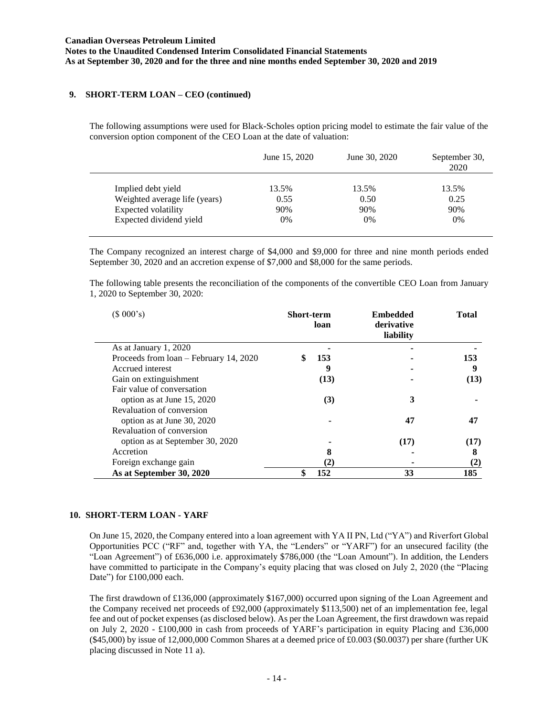### **9. SHORT-TERM LOAN – CEO (continued)**

The following assumptions were used for Black-Scholes option pricing model to estimate the fair value of the conversion option component of the CEO Loan at the date of valuation:

|                               | June 15, 2020 | June 30, 2020 | September 30,<br>2020 |
|-------------------------------|---------------|---------------|-----------------------|
| Implied debt yield            | 13.5%         | 13.5%         | 13.5%                 |
| Weighted average life (years) | 0.55          | 0.50          | 0.25                  |
| Expected volatility           | 90%           | 90%           | 90%                   |
| Expected dividend yield       | 0%            | 0%            | $0\%$                 |

The Company recognized an interest charge of \$4,000 and \$9,000 for three and nine month periods ended September 30, 2020 and an accretion expense of \$7,000 and \$8,000 for the same periods.

The following table presents the reconciliation of the components of the convertible CEO Loan from January 1, 2020 to September 30, 2020:

| (\$000's)                              | <b>Short-term</b> | loan     | <b>Embedded</b><br>derivative<br>liability | <b>Total</b> |
|----------------------------------------|-------------------|----------|--------------------------------------------|--------------|
| As at January 1, 2020                  |                   |          |                                            |              |
| Proceeds from loan – February 14, 2020 | \$                | 153      |                                            | 153          |
| Accrued interest                       |                   | 9        |                                            | 9            |
| Gain on extinguishment                 |                   | (13)     |                                            | (13)         |
| Fair value of conversation             |                   |          |                                            |              |
| option as at June 15, 2020             |                   | (3)      | 3                                          |              |
| Revaluation of conversion              |                   |          |                                            |              |
| option as at June 30, 2020             |                   |          | 47                                         | 47           |
| Revaluation of conversion              |                   |          |                                            |              |
| option as at September 30, 2020        |                   |          | (17)                                       | (17)         |
| Accretion                              |                   | 8        |                                            | 8            |
| Foreign exchange gain                  |                   | $\rm(2)$ |                                            | (2)          |
| As at September 30, 2020               |                   | 152      | 33                                         | 185          |

### **10. SHORT-TERM LOAN - YARF**

On June 15, 2020, the Company entered into a loan agreement with YA II PN, Ltd ("YA") and Riverfort Global Opportunities PCC ("RF" and, together with YA, the "Lenders" or "YARF") for an unsecured facility (the "Loan Agreement") of £636,000 i.e. approximately \$786,000 (the "Loan Amount"). In addition, the Lenders have committed to participate in the Company's equity placing that was closed on July 2, 2020 (the "Placing Date") for £100,000 each.

The first drawdown of £136,000 (approximately \$167,000) occurred upon signing of the Loan Agreement and the Company received net proceeds of £92,000 (approximately \$113,500) net of an implementation fee, legal fee and out of pocket expenses (as disclosed below). As per the Loan Agreement, the first drawdown was repaid on July 2, 2020 - £100,000 in cash from proceeds of YARF's participation in equity Placing and £36,000 (\$45,000) by issue of 12,000,000 Common Shares at a deemed price of £0.003 (\$0.0037) per share (further UK placing discussed in Note 11 a).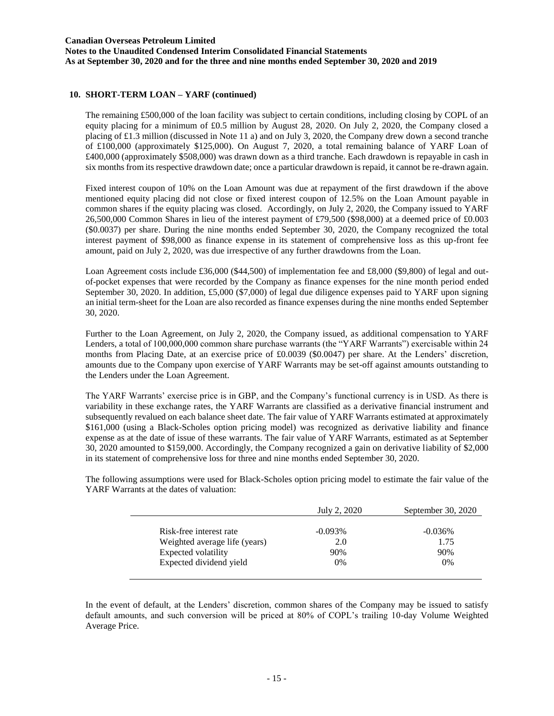### **10. SHORT-TERM LOAN – YARF (continued)**

The remaining £500,000 of the loan facility was subject to certain conditions, including closing by COPL of an equity placing for a minimum of £0.5 million by August 28, 2020. On July 2, 2020, the Company closed a placing of £1.3 million (discussed in Note 11 a) and on July 3, 2020, the Company drew down a second tranche of £100,000 (approximately \$125,000). On August 7, 2020, a total remaining balance of YARF Loan of £400,000 (approximately \$508,000) was drawn down as a third tranche. Each drawdown is repayable in cash in six months from its respective drawdown date; once a particular drawdown is repaid, it cannot be re-drawn again.

Fixed interest coupon of 10% on the Loan Amount was due at repayment of the first drawdown if the above mentioned equity placing did not close or fixed interest coupon of 12.5% on the Loan Amount payable in common shares if the equity placing was closed. Accordingly, on July 2, 2020, the Company issued to YARF 26,500,000 Common Shares in lieu of the interest payment of £79,500 (\$98,000) at a deemed price of £0.003 (\$0.0037) per share. During the nine months ended September 30, 2020, the Company recognized the total interest payment of \$98,000 as finance expense in its statement of comprehensive loss as this up-front fee amount, paid on July 2, 2020, was due irrespective of any further drawdowns from the Loan.

Loan Agreement costs include £36,000 (\$44,500) of implementation fee and £8,000 (\$9,800) of legal and outof-pocket expenses that were recorded by the Company as finance expenses for the nine month period ended September 30, 2020. In addition, £5,000 (\$7,000) of legal due diligence expenses paid to YARF upon signing an initial term-sheet for the Loan are also recorded as finance expenses during the nine months ended September 30, 2020.

Further to the Loan Agreement, on July 2, 2020, the Company issued, as additional compensation to YARF Lenders, a total of 100,000,000 common share purchase warrants (the "YARF Warrants") exercisable within 24 months from Placing Date, at an exercise price of £0.0039 (\$0.0047) per share. At the Lenders' discretion, amounts due to the Company upon exercise of YARF Warrants may be set-off against amounts outstanding to the Lenders under the Loan Agreement.

The YARF Warrants' exercise price is in GBP, and the Company's functional currency is in USD. As there is variability in these exchange rates, the YARF Warrants are classified as a derivative financial instrument and subsequently revalued on each balance sheet date. The fair value of YARF Warrants estimated at approximately \$161,000 (using a Black-Scholes option pricing model) was recognized as derivative liability and finance expense as at the date of issue of these warrants. The fair value of YARF Warrants, estimated as at September 30, 2020 amounted to \$159,000. Accordingly, the Company recognized a gain on derivative liability of \$2,000 in its statement of comprehensive loss for three and nine months ended September 30, 2020.

The following assumptions were used for Black-Scholes option pricing model to estimate the fair value of the YARF Warrants at the dates of valuation:

| July 2, 2020 | September 30, 2020 |
|--------------|--------------------|
| $-0.093\%$   | $-0.036\%$         |
| 2.0          | 1.75               |
| 90%          | 90%                |
| $0\%$        | 0%                 |
|              |                    |

In the event of default, at the Lenders' discretion, common shares of the Company may be issued to satisfy default amounts, and such conversion will be priced at 80% of COPL's trailing 10-day Volume Weighted Average Price.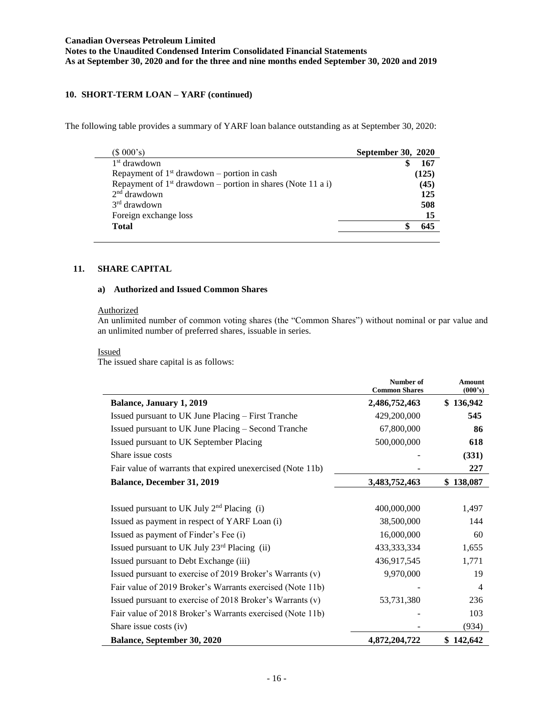## **10. SHORT-TERM LOAN – YARF (continued)**

The following table provides a summary of YARF loan balance outstanding as at September 30, 2020:

| $(S\ 000's)$                                                  | <b>September 30, 2020</b> |
|---------------------------------------------------------------|---------------------------|
| 1 <sup>st</sup> drawdown                                      | 167                       |
| Repayment of $1st$ drawdown – portion in cash                 | (125)                     |
| Repayment of $1st$ drawdown – portion in shares (Note 11 a i) | (45)                      |
| $2nd$ drawdown                                                | 125                       |
| $3rd$ drawdown                                                | 508                       |
| Foreign exchange loss                                         | 15                        |
| <b>Total</b>                                                  | 645                       |

## **11. SHARE CAPITAL**

#### **a) Authorized and Issued Common Shares**

#### **Authorized**

An unlimited number of common voting shares (the "Common Shares") without nominal or par value and an unlimited number of preferred shares, issuable in series.

#### Issued

The issued share capital is as follows:

|                                                            | Number of<br><b>Common Shares</b> | <b>Amount</b><br>(000's) |
|------------------------------------------------------------|-----------------------------------|--------------------------|
| <b>Balance, January 1, 2019</b>                            | 2,486,752,463                     | \$136,942                |
| Issued pursuant to UK June Placing – First Tranche         | 429,200,000                       | 545                      |
| Issued pursuant to UK June Placing – Second Tranche        | 67,800,000                        | 86                       |
| Issued pursuant to UK September Placing                    | 500,000,000                       | 618                      |
| Share issue costs                                          |                                   | (331)                    |
| Fair value of warrants that expired unexercised (Note 11b) |                                   | 227                      |
| <b>Balance, December 31, 2019</b>                          | 3,483,752,463                     | \$138,087                |
| Issued pursuant to UK July $2nd$ Placing (i)               | 400,000,000                       | 1,497                    |
| Issued as payment in respect of YARF Loan (i)              | 38,500,000                        | 144                      |
| Issued as payment of Finder's Fee (i)                      | 16,000,000                        | 60                       |
| Issued pursuant to UK July 23rd Placing (ii)               | 433, 333, 334                     | 1,655                    |
| Issued pursuant to Debt Exchange (iii)                     | 436,917,545                       | 1,771                    |
| Issued pursuant to exercise of 2019 Broker's Warrants (v)  | 9,970,000                         | 19                       |
| Fair value of 2019 Broker's Warrants exercised (Note 11b)  |                                   | $\overline{4}$           |
| Issued pursuant to exercise of 2018 Broker's Warrants (v)  | 53,731,380                        | 236                      |
| Fair value of 2018 Broker's Warrants exercised (Note 11b)  |                                   | 103                      |
| Share issue costs (iv)                                     |                                   | (934)                    |
| <b>Balance, September 30, 2020</b>                         | 4,872,204,722                     | \$142,642                |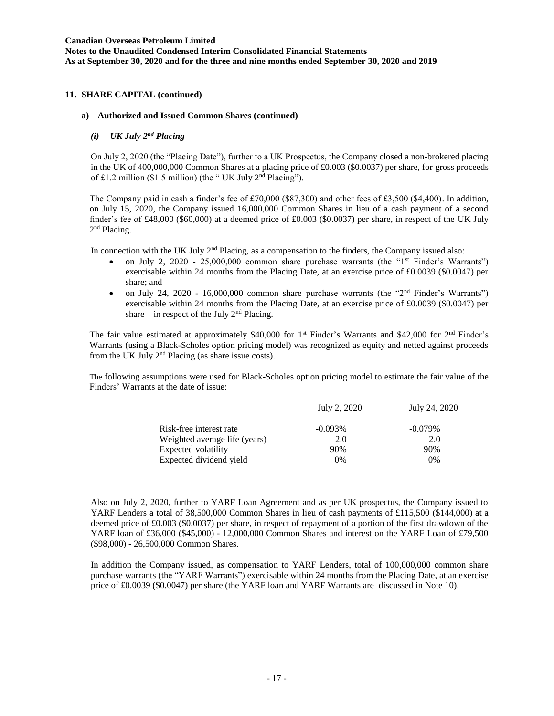### **11. SHARE CAPITAL (continued)**

#### **a) Authorized and Issued Common Shares (continued)**

#### *(i) UK July 2nd Placing*

On July 2, 2020 (the "Placing Date"), further to a UK Prospectus, the Company closed a non-brokered placing in the UK of 400,000,000 Common Shares at a placing price of £0.003 (\$0.0037) per share, for gross proceeds of £1.2 million (\$1.5 million) (the " UK July 2nd Placing").

The Company paid in cash a finder's fee of £70,000 (\$87,300) and other fees of £3,500 (\$4,400). In addition, on July 15, 2020, the Company issued 16,000,000 Common Shares in lieu of a cash payment of a second finder's fee of £48,000 (\$60,000) at a deemed price of £0.003 (\$0.0037) per share, in respect of the UK July 2<sup>nd</sup> Placing.

In connection with the UK July  $2<sup>nd</sup>$  Placing, as a compensation to the finders, the Company issued also:

- on July 2, 2020 25,000,000 common share purchase warrants (the "1st Finder's Warrants") exercisable within 24 months from the Placing Date, at an exercise price of £0.0039 (\$0.0047) per share; and
- on July 24, 2020 16,000,000 common share purchase warrants (the "2nd Finder's Warrants") exercisable within 24 months from the Placing Date, at an exercise price of £0.0039 (\$0.0047) per share – in respect of the July  $2<sup>nd</sup>$  Placing.

The fair value estimated at approximately \$40,000 for  $1<sup>st</sup>$  Finder's Warrants and \$42,000 for  $2<sup>nd</sup>$  Finder's Warrants (using a Black-Scholes option pricing model) was recognized as equity and netted against proceeds from the UK July 2nd Placing (as share issue costs).

The following assumptions were used for Black-Scholes option pricing model to estimate the fair value of the Finders' Warrants at the date of issue:

|                               | July 2, 2020 | July 24, 2020 |
|-------------------------------|--------------|---------------|
| Risk-free interest rate       | $-0.093\%$   | $-0.079\%$    |
| Weighted average life (years) | 2.0          | 2.0           |
| Expected volatility           | 90%          | 90%           |
| Expected dividend yield       | $0\%$        | 0%            |

Also on July 2, 2020, further to YARF Loan Agreement and as per UK prospectus, the Company issued to YARF Lenders a total of 38,500,000 Common Shares in lieu of cash payments of £115,500 (\$144,000) at a deemed price of £0.003 (\$0.0037) per share, in respect of repayment of a portion of the first drawdown of the YARF loan of £36,000 (\$45,000) - 12,000,000 Common Shares and interest on the YARF Loan of £79,500 (\$98,000) - 26,500,000 Common Shares.

In addition the Company issued, as compensation to YARF Lenders, total of 100,000,000 common share purchase warrants (the "YARF Warrants") exercisable within 24 months from the Placing Date, at an exercise price of £0.0039 (\$0.0047) per share (the YARF loan and YARF Warrants are discussed in Note 10).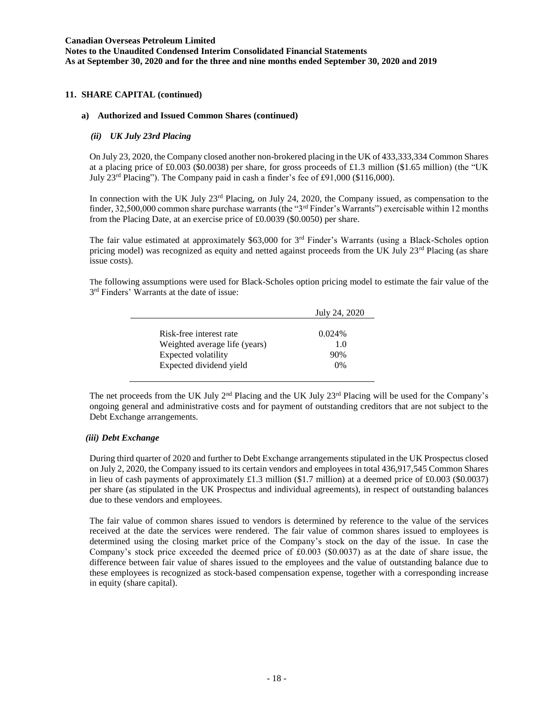### **11. SHARE CAPITAL (continued)**

#### **a) Authorized and Issued Common Shares (continued)**

#### *(ii) UK July 23rd Placing*

On July 23, 2020, the Company closed another non-brokered placing in the UK of 433,333,334 Common Shares at a placing price of £0.003 (\$0.0038) per share, for gross proceeds of £1.3 million (\$1.65 million) (the "UK July 23rd Placing"). The Company paid in cash a finder's fee of £91,000 (\$116,000).

In connection with the UK July 23<sup>rd</sup> Placing, on July 24, 2020, the Company issued, as compensation to the finder, 32,500,000 common share purchase warrants (the "3rd Finder's Warrants") exercisable within 12 months from the Placing Date, at an exercise price of £0.0039 (\$0.0050) per share.

The fair value estimated at approximately \$63,000 for  $3<sup>rd</sup>$  Finder's Warrants (using a Black-Scholes option pricing model) was recognized as equity and netted against proceeds from the UK July  $23<sup>rd</sup>$  Placing (as share issue costs).

The following assumptions were used for Black-Scholes option pricing model to estimate the fair value of the 3<sup>rd</sup> Finders' Warrants at the date of issue:

|                               | July 24, 2020 |
|-------------------------------|---------------|
|                               |               |
| Risk-free interest rate       | 0.024%        |
| Weighted average life (years) | 1.0           |
| Expected volatility           | 90%           |
| Expected dividend yield       | 0%            |

The net proceeds from the UK July  $2<sup>nd</sup>$  Placing and the UK July  $2<sup>3rd</sup>$  Placing will be used for the Company's ongoing general and administrative costs and for payment of outstanding creditors that are not subject to the Debt Exchange arrangements.

### *(iii) Debt Exchange*

During third quarter of 2020 and further to Debt Exchange arrangements stipulated in the UK Prospectus closed on July 2, 2020, the Company issued to its certain vendors and employees in total 436,917,545 Common Shares in lieu of cash payments of approximately £1.3 million (\$1.7 million) at a deemed price of £0.003 (\$0.0037) per share (as stipulated in the UK Prospectus and individual agreements), in respect of outstanding balances due to these vendors and employees.

The fair value of common shares issued to vendors is determined by reference to the value of the services received at the date the services were rendered. The fair value of common shares issued to employees is determined using the closing market price of the Company's stock on the day of the issue. In case the Company's stock price exceeded the deemed price of £0.003 (\$0.0037) as at the date of share issue, the difference between fair value of shares issued to the employees and the value of outstanding balance due to these employees is recognized as stock-based compensation expense, together with a corresponding increase in equity (share capital).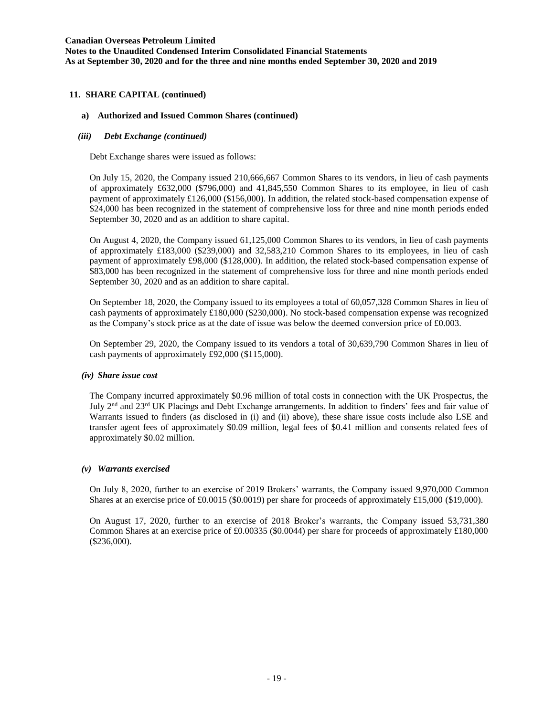### **11. SHARE CAPITAL (continued)**

### **a) Authorized and Issued Common Shares (continued)**

### *(iii) Debt Exchange (continued)*

Debt Exchange shares were issued as follows:

On July 15, 2020, the Company issued 210,666,667 Common Shares to its vendors, in lieu of cash payments of approximately £632,000 (\$796,000) and 41,845,550 Common Shares to its employee, in lieu of cash payment of approximately £126,000 (\$156,000). In addition, the related stock-based compensation expense of \$24,000 has been recognized in the statement of comprehensive loss for three and nine month periods ended September 30, 2020 and as an addition to share capital.

On August 4, 2020, the Company issued 61,125,000 Common Shares to its vendors, in lieu of cash payments of approximately £183,000 (\$239,000) and 32,583,210 Common Shares to its employees, in lieu of cash payment of approximately £98,000 (\$128,000). In addition, the related stock-based compensation expense of \$83,000 has been recognized in the statement of comprehensive loss for three and nine month periods ended September 30, 2020 and as an addition to share capital.

On September 18, 2020, the Company issued to its employees a total of 60,057,328 Common Shares in lieu of cash payments of approximately £180,000 (\$230,000). No stock-based compensation expense was recognized as the Company's stock price as at the date of issue was below the deemed conversion price of £0.003.

On September 29, 2020, the Company issued to its vendors a total of 30,639,790 Common Shares in lieu of cash payments of approximately £92,000 (\$115,000).

### *(iv) Share issue cost*

The Company incurred approximately \$0.96 million of total costs in connection with the UK Prospectus, the July 2nd and 23rd UK Placings and Debt Exchange arrangements. In addition to finders' fees and fair value of Warrants issued to finders (as disclosed in (i) and (ii) above), these share issue costs include also LSE and transfer agent fees of approximately \$0.09 million, legal fees of \$0.41 million and consents related fees of approximately \$0.02 million.

### *(v) Warrants exercised*

On July 8, 2020, further to an exercise of 2019 Brokers' warrants, the Company issued 9,970,000 Common Shares at an exercise price of £0.0015 (\$0.0019) per share for proceeds of approximately £15,000 (\$19,000).

On August 17, 2020, further to an exercise of 2018 Broker's warrants, the Company issued 53,731,380 Common Shares at an exercise price of £0.00335 (\$0.0044) per share for proceeds of approximately £180,000 (\$236,000).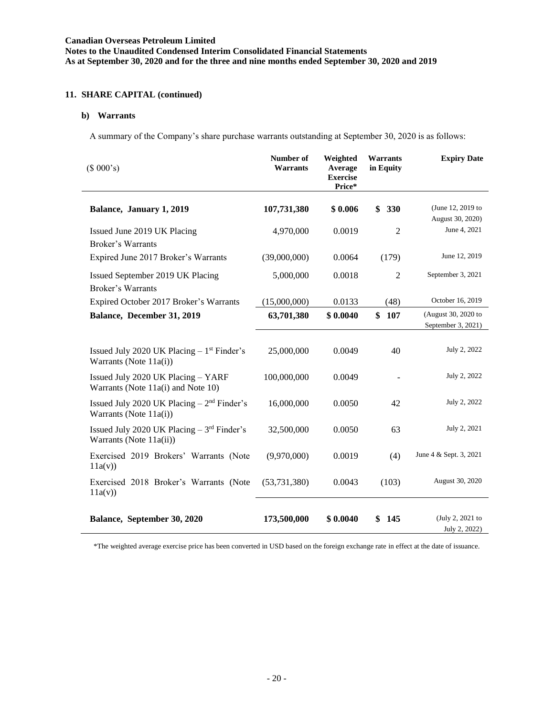## **11. SHARE CAPITAL (continued)**

## **b) Warrants**

A summary of the Company's share purchase warrants outstanding at September 30, 2020 is as follows:

| (\$000's)                                                                         | Number of<br>Warrants | Weighted<br>Average<br><b>Exercise</b><br>Price* | Warrants<br>in Equity | <b>Expiry Date</b>                        |
|-----------------------------------------------------------------------------------|-----------------------|--------------------------------------------------|-----------------------|-------------------------------------------|
| Balance, January 1, 2019                                                          | 107,731,380           | \$0.006                                          | \$330                 | (June 12, 2019 to<br>August 30, 2020)     |
| Issued June 2019 UK Placing<br>Broker's Warrants                                  | 4,970,000             | 0.0019                                           | $\overline{2}$        | June 4, 2021                              |
| Expired June 2017 Broker's Warrants                                               | (39,000,000)          | 0.0064                                           | (179)                 | June 12, 2019                             |
| Issued September 2019 UK Placing<br><b>Broker's Warrants</b>                      | 5,000,000             | 0.0018                                           | $\overline{2}$        | September 3, 2021                         |
| Expired October 2017 Broker's Warrants                                            | (15,000,000)          | 0.0133                                           | (48)                  | October 16, 2019                          |
| Balance, December 31, 2019                                                        | 63,701,380            | \$0.0040                                         | \$<br>107             | (August 30, 2020 to<br>September 3, 2021) |
| Issued July 2020 UK Placing $-1$ <sup>st</sup> Finder's<br>Warrants (Note 11a(i)) | 25,000,000            | 0.0049                                           | 40                    | July 2, 2022                              |
| Issued July 2020 UK Placing - YARF<br>Warrants (Note 11a(i) and Note 10)          | 100,000,000           | 0.0049                                           |                       | July 2, 2022                              |
| Issued July 2020 UK Placing $-2nd$ Finder's<br>Warrants (Note 11a(i))             | 16,000,000            | 0.0050                                           | 42                    | July 2, 2022                              |
| Issued July 2020 UK Placing $-3rd$ Finder's<br>Warrants (Note 11a(ii))            | 32,500,000            | 0.0050                                           | 63                    | July 2, 2021                              |
| Exercised 2019 Brokers' Warrants (Note<br>11a(v)                                  | (9,970,000)           | 0.0019                                           | (4)                   | June 4 & Sept. 3, 2021                    |
| Exercised 2018 Broker's Warrants (Note<br>11a(v)                                  | (53, 731, 380)        | 0.0043                                           | (103)                 | August 30, 2020                           |
| Balance, September 30, 2020                                                       | 173,500,000           | \$0.0040                                         | \$<br>145             | (July 2, 2021 to<br>July 2, 2022)         |

\*The weighted average exercise price has been converted in USD based on the foreign exchange rate in effect at the date of issuance.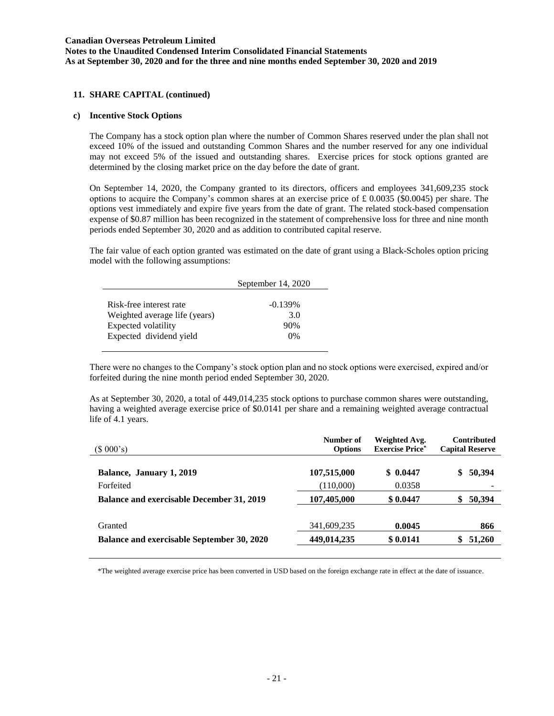**Notes to the Unaudited Condensed Interim Consolidated Financial Statements As at September 30, 2020 and for the three and nine months ended September 30, 2020 and 2019**

### **11. SHARE CAPITAL (continued)**

### **c) Incentive Stock Options**

The Company has a stock option plan where the number of Common Shares reserved under the plan shall not exceed 10% of the issued and outstanding Common Shares and the number reserved for any one individual may not exceed 5% of the issued and outstanding shares. Exercise prices for stock options granted are determined by the closing market price on the day before the date of grant.

On September 14, 2020, the Company granted to its directors, officers and employees 341,609,235 stock options to acquire the Company's common shares at an exercise price of  $\pounds$  0.0035 (\$0.0045) per share. The options vest immediately and expire five years from the date of grant. The related stock-based compensation expense of \$0.87 million has been recognized in the statement of comprehensive loss for three and nine month periods ended September 30, 2020 and as addition to contributed capital reserve.

The fair value of each option granted was estimated on the date of grant using a Black-Scholes option pricing model with the following assumptions:

|                                                          | September 14, 2020 |  |
|----------------------------------------------------------|--------------------|--|
| Risk-free interest rate<br>Weighted average life (years) | $-0.139\%$<br>3.0  |  |
| Expected volatility                                      | 90%                |  |
| Expected dividend yield                                  | $0\%$              |  |

There were no changes to the Company's stock option plan and no stock options were exercised, expired and/or forfeited during the nine month period ended September 30, 2020.

As at September 30, 2020, a total of 449,014,235 stock options to purchase common shares were outstanding, having a weighted average exercise price of \$0.0141 per share and a remaining weighted average contractual life of 4.1 years.

| (\$000's)                                         | Number of<br><b>Options</b> | Weighted Avg.<br><b>Exercise Price*</b> | <b>Contributed</b><br><b>Capital Reserve</b> |
|---------------------------------------------------|-----------------------------|-----------------------------------------|----------------------------------------------|
| Balance, January 1, 2019                          | 107,515,000                 | \$0.0447                                | 50,394<br>\$                                 |
| Forfeited                                         | (110,000)                   | 0.0358                                  |                                              |
| <b>Balance and exercisable December 31, 2019</b>  | 107,405,000                 | \$0.0447                                | 50,394<br>\$                                 |
| Granted                                           | 341,609,235                 | 0.0045                                  | 866                                          |
| <b>Balance and exercisable September 30, 2020</b> | 449,014,235                 | \$0.0141                                | 51,260                                       |
|                                                   |                             |                                         |                                              |

\*The weighted average exercise price has been converted in USD based on the foreign exchange rate in effect at the date of issuance.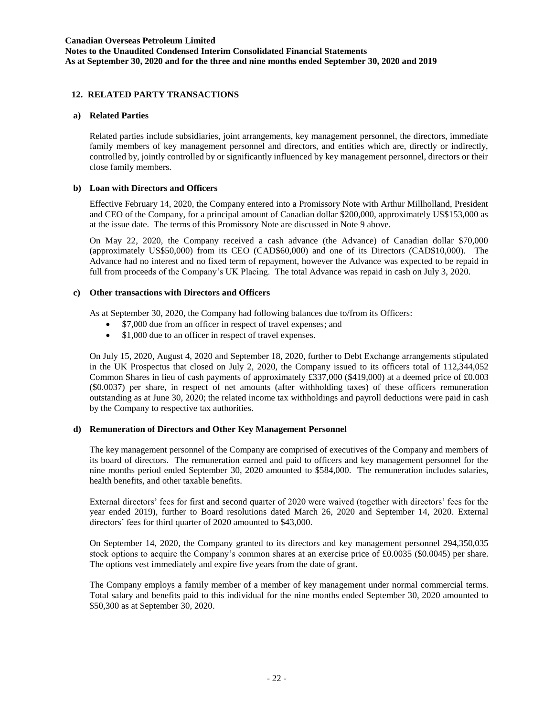### **12. RELATED PARTY TRANSACTIONS**

### **a) Related Parties**

Related parties include subsidiaries, joint arrangements, key management personnel, the directors, immediate family members of key management personnel and directors, and entities which are, directly or indirectly, controlled by, jointly controlled by or significantly influenced by key management personnel, directors or their close family members.

### **b) Loan with Directors and Officers**

Effective February 14, 2020, the Company entered into a Promissory Note with Arthur Millholland, President and CEO of the Company, for a principal amount of Canadian dollar \$200,000, approximately US\$153,000 as at the issue date. The terms of this Promissory Note are discussed in Note 9 above.

On May 22, 2020, the Company received a cash advance (the Advance) of Canadian dollar \$70,000 (approximately US\$50,000) from its CEO (CAD\$60,000) and one of its Directors (CAD\$10,000). The Advance had no interest and no fixed term of repayment, however the Advance was expected to be repaid in full from proceeds of the Company's UK Placing. The total Advance was repaid in cash on July 3, 2020.

### **c) Other transactions with Directors and Officers**

As at September 30, 2020, the Company had following balances due to/from its Officers:

- \$7,000 due from an officer in respect of travel expenses; and
- \$1,000 due to an officer in respect of travel expenses.

On July 15, 2020, August 4, 2020 and September 18, 2020, further to Debt Exchange arrangements stipulated in the UK Prospectus that closed on July 2, 2020, the Company issued to its officers total of 112,344,052 Common Shares in lieu of cash payments of approximately £337,000 (\$419,000) at a deemed price of £0.003 (\$0.0037) per share, in respect of net amounts (after withholding taxes) of these officers remuneration outstanding as at June 30, 2020; the related income tax withholdings and payroll deductions were paid in cash by the Company to respective tax authorities.

### **d) Remuneration of Directors and Other Key Management Personnel**

The key management personnel of the Company are comprised of executives of the Company and members of its board of directors. The remuneration earned and paid to officers and key management personnel for the nine months period ended September 30, 2020 amounted to \$584,000. The remuneration includes salaries, health benefits, and other taxable benefits.

External directors' fees for first and second quarter of 2020 were waived (together with directors' fees for the year ended 2019), further to Board resolutions dated March 26, 2020 and September 14, 2020. External directors' fees for third quarter of 2020 amounted to \$43,000.

On September 14, 2020, the Company granted to its directors and key management personnel 294,350,035 stock options to acquire the Company's common shares at an exercise price of £0.0035 (\$0.0045) per share. The options vest immediately and expire five years from the date of grant.

The Company employs a family member of a member of key management under normal commercial terms. Total salary and benefits paid to this individual for the nine months ended September 30, 2020 amounted to \$50,300 as at September 30, 2020.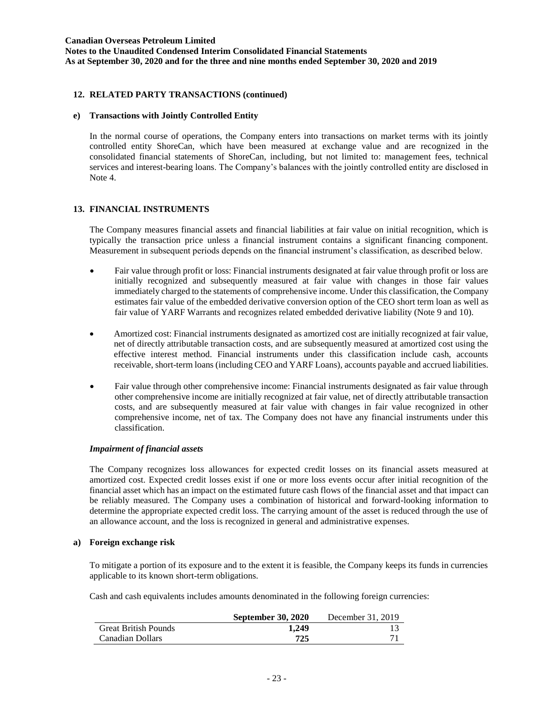**Notes to the Unaudited Condensed Interim Consolidated Financial Statements As at September 30, 2020 and for the three and nine months ended September 30, 2020 and 2019**

### **12. RELATED PARTY TRANSACTIONS (continued)**

### **e) Transactions with Jointly Controlled Entity**

In the normal course of operations, the Company enters into transactions on market terms with its jointly controlled entity ShoreCan, which have been measured at exchange value and are recognized in the consolidated financial statements of ShoreCan, including, but not limited to: management fees, technical services and interest-bearing loans. The Company's balances with the jointly controlled entity are disclosed in Note 4.

### **13. FINANCIAL INSTRUMENTS**

The Company measures financial assets and financial liabilities at fair value on initial recognition, which is typically the transaction price unless a financial instrument contains a significant financing component. Measurement in subsequent periods depends on the financial instrument's classification, as described below.

- Fair value through profit or loss: Financial instruments designated at fair value through profit or loss are initially recognized and subsequently measured at fair value with changes in those fair values immediately charged to the statements of comprehensive income. Under this classification, the Company estimates fair value of the embedded derivative conversion option of the CEO short term loan as well as fair value of YARF Warrants and recognizes related embedded derivative liability (Note 9 and 10).
- Amortized cost: Financial instruments designated as amortized cost are initially recognized at fair value, net of directly attributable transaction costs, and are subsequently measured at amortized cost using the effective interest method. Financial instruments under this classification include cash, accounts receivable, short-term loans (including CEO and YARF Loans), accounts payable and accrued liabilities.
- Fair value through other comprehensive income: Financial instruments designated as fair value through other comprehensive income are initially recognized at fair value, net of directly attributable transaction costs, and are subsequently measured at fair value with changes in fair value recognized in other comprehensive income, net of tax. The Company does not have any financial instruments under this classification.

### *Impairment of financial assets*

The Company recognizes loss allowances for expected credit losses on its financial assets measured at amortized cost. Expected credit losses exist if one or more loss events occur after initial recognition of the financial asset which has an impact on the estimated future cash flows of the financial asset and that impact can be reliably measured. The Company uses a combination of historical and forward-looking information to determine the appropriate expected credit loss. The carrying amount of the asset is reduced through the use of an allowance account, and the loss is recognized in general and administrative expenses.

#### **a) Foreign exchange risk**

To mitigate a portion of its exposure and to the extent it is feasible, the Company keeps its funds in currencies applicable to its known short-term obligations.

Cash and cash equivalents includes amounts denominated in the following foreign currencies:

|                             | <b>September 30, 2020</b> | December 31, 2019 |
|-----------------------------|---------------------------|-------------------|
| <b>Great British Pounds</b> | 1.249                     |                   |
| Canadian Dollars            | 725                       |                   |